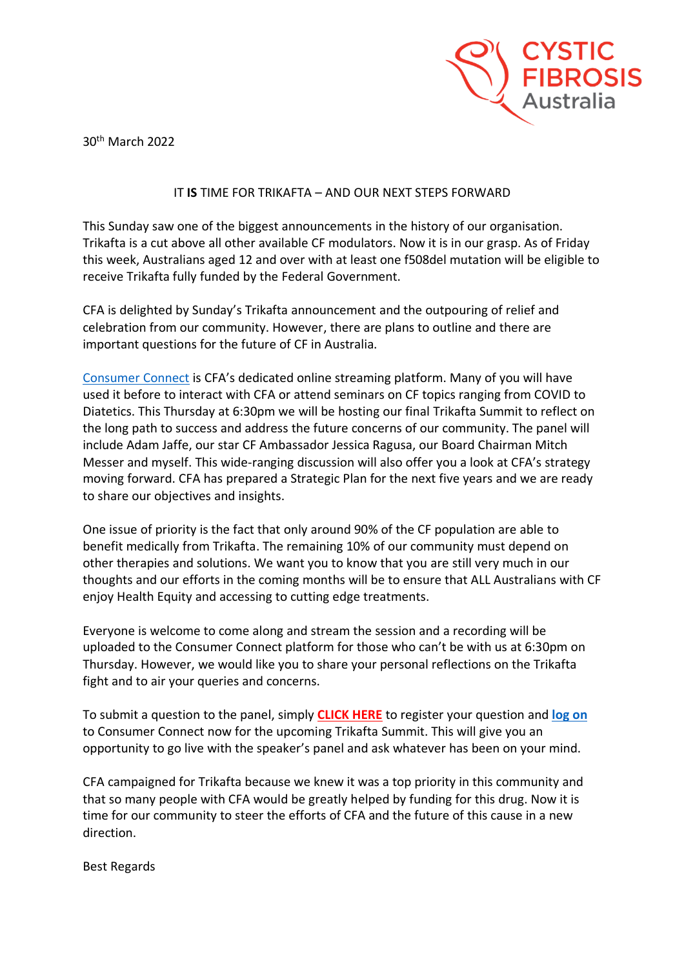

30th March 2022

## IT **IS** TIME FOR TRIKAFTA – AND OUR NEXT STEPS FORWARD

This Sunday saw one of the biggest announcements in the history of our organisation. Trikafta is a cut above all other available CF modulators. Now it is in our grasp. As of Friday this week, Australians aged 12 and over with at least one f508del mutation will be eligible to receive Trikafta fully funded by the Federal Government.

CFA is delighted by Sunday's Trikafta announcement and the outpouring of relief and celebration from our community. However, there are plans to outline and there are important questions for the future of CF in Australia.

[Consumer Connect](https://www.cysticfibrosis.org.au/consumerconnect) is CFA's dedicated online streaming platform. Many of you will have used it before to interact with CFA or attend seminars on CF topics ranging from COVID to Diatetics. This Thursday at 6:30pm we will be hosting our final Trikafta Summit to reflect on the long path to success and address the future concerns of our community. The panel will include Adam Jaffe, our star CF Ambassador Jessica Ragusa, our Board Chairman Mitch Messer and myself. This wide-ranging discussion will also offer you a look at CFA's strategy moving forward. CFA has prepared a Strategic Plan for the next five years and we are ready to share our objectives and insights.

One issue of priority is the fact that only around 90% of the CF population are able to benefit medically from Trikafta. The remaining 10% of our community must depend on other therapies and solutions. We want you to know that you are still very much in our thoughts and our efforts in the coming months will be to ensure that ALL Australians with CF enjoy Health Equity and accessing to cutting edge treatments.

Everyone is welcome to come along and stream the session and a recording will be uploaded to the Consumer Connect platform for those who can't be with us at 6:30pm on Thursday. However, we would like you to share your personal reflections on the Trikafta fight and to air your queries and concerns.

To submit a question to the panel, simply **[CLICK HERE](http://cfa.padlokt.com/consumer-connect/video/it-time-trikafta-our-next-steps-forward/register)** to register your question and **[log on](https://www.cysticfibrosis.org.au/consumerconnect)** to Consumer Connect now for the upcoming Trikafta Summit. This will give you an opportunity to go live with the speaker's panel and ask whatever has been on your mind.

CFA campaigned for Trikafta because we knew it was a top priority in this community and that so many people with CFA would be greatly helped by funding for this drug. Now it is time for our community to steer the efforts of CFA and the future of this cause in a new direction.

Best Regards